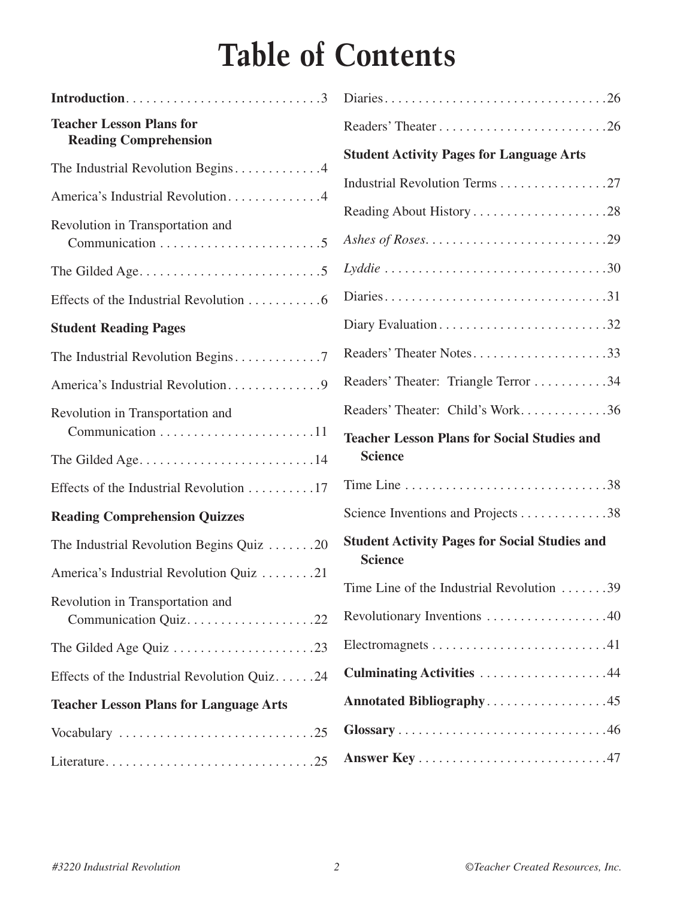# **Table of Contents**

| <b>Teacher Lesson Plans for</b>                                                |                                                                        |
|--------------------------------------------------------------------------------|------------------------------------------------------------------------|
| <b>Reading Comprehension</b>                                                   | <b>Student Activity Pages for Language Arts</b>                        |
| The Industrial Revolution Begins4                                              | Industrial Revolution Terms 27                                         |
| America's Industrial Revolution4                                               | Reading About History28                                                |
| Revolution in Transportation and                                               |                                                                        |
|                                                                                |                                                                        |
| Effects of the Industrial Revolution 6                                         |                                                                        |
| <b>Student Reading Pages</b>                                                   | Diary Evaluation32                                                     |
| The Industrial Revolution Begins7                                              | Readers' Theater Notes33                                               |
| America's Industrial Revolution9                                               | Readers' Theater: Triangle Terror 34                                   |
| Revolution in Transportation and                                               | Readers' Theater: Child's Work36                                       |
|                                                                                | <b>Teacher Lesson Plans for Social Studies and</b>                     |
| The Gilded Age14                                                               | <b>Science</b>                                                         |
| Effects of the Industrial Revolution 17                                        |                                                                        |
| <b>Reading Comprehension Quizzes</b>                                           | Science Inventions and Projects 38                                     |
| The Industrial Revolution Begins Quiz 20                                       | <b>Student Activity Pages for Social Studies and</b><br><b>Science</b> |
| America's Industrial Revolution Quiz 21                                        |                                                                        |
| Revolution in Transportation and<br>Communication Quiz22                       | Time Line of the Industrial Revolution 39                              |
|                                                                                | Revolutionary Inventions 40                                            |
| The Gilded Age Quiz $\dots \dots \dots \dots \dots \dots \dots \dots \dots 23$ |                                                                        |
| Effects of the Industrial Revolution Quiz24                                    | Culminating Activities 44                                              |
| <b>Teacher Lesson Plans for Language Arts</b>                                  | Annotated Bibliography45                                               |
|                                                                                |                                                                        |
|                                                                                |                                                                        |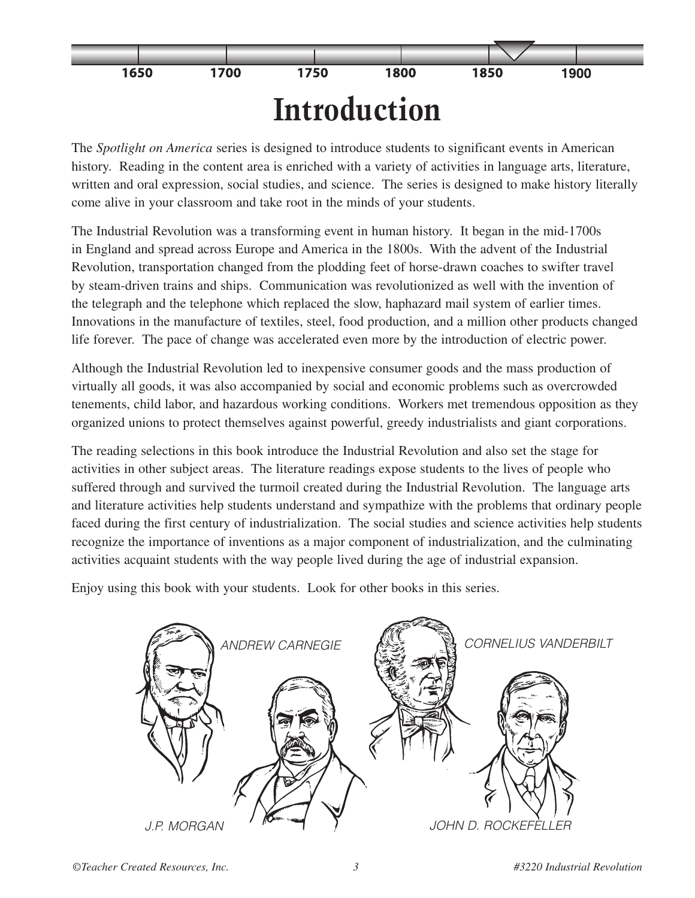

The *Spotlight on America* series is designed to introduce students to significant events in American history. Reading in the content area is enriched with a variety of activities in language arts, literature, written and oral expression, social studies, and science. The series is designed to make history literally come alive in your classroom and take root in the minds of your students.

The Industrial Revolution was a transforming event in human history. It began in the mid-1700s in England and spread across Europe and America in the 1800s. With the advent of the Industrial Revolution, transportation changed from the plodding feet of horse-drawn coaches to swifter travel by steam-driven trains and ships. Communication was revolutionized as well with the invention of the telegraph and the telephone which replaced the slow, haphazard mail system of earlier times. Innovations in the manufacture of textiles, steel, food production, and a million other products changed life forever. The pace of change was accelerated even more by the introduction of electric power.

Although the Industrial Revolution led to inexpensive consumer goods and the mass production of virtually all goods, it was also accompanied by social and economic problems such as overcrowded tenements, child labor, and hazardous working conditions. Workers met tremendous opposition as they organized unions to protect themselves against powerful, greedy industrialists and giant corporations.

The reading selections in this book introduce the Industrial Revolution and also set the stage for activities in other subject areas. The literature readings expose students to the lives of people who suffered through and survived the turmoil created during the Industrial Revolution. The language arts and literature activities help students understand and sympathize with the problems that ordinary people faced during the first century of industrialization. The social studies and science activities help students recognize the importance of inventions as a major component of industrialization, and the culminating activities acquaint students with the way people lived during the age of industrial expansion.

Enjoy using this book with your students. Look for other books in this series.

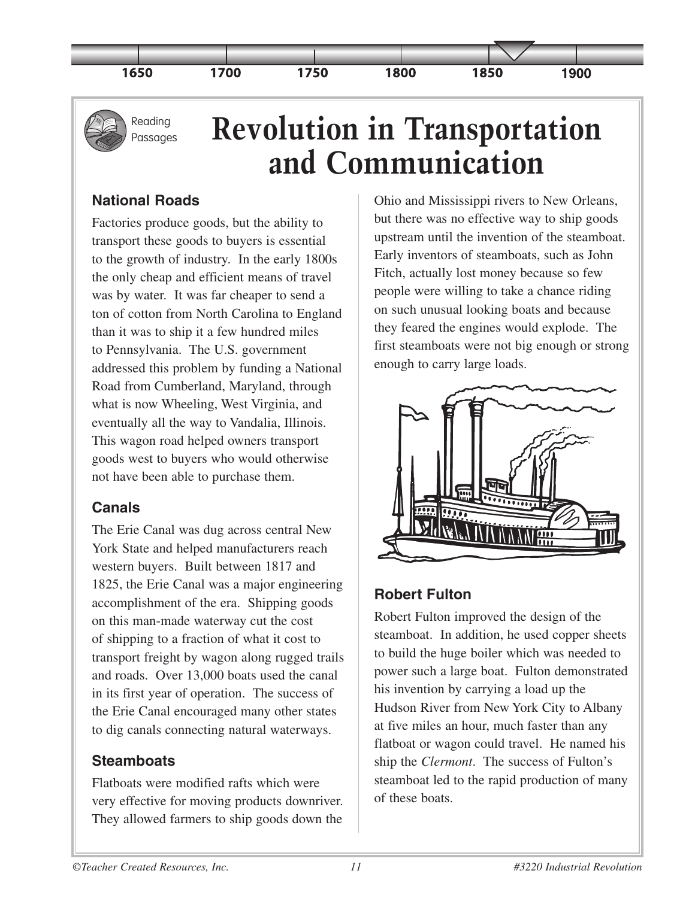



## **Revolution in Transportation and Communication**

#### **National Roads**

Factories produce goods, but the ability to transport these goods to buyers is essential to the growth of industry. In the early 1800s the only cheap and efficient means of travel was by water. It was far cheaper to send a ton of cotton from North Carolina to England than it was to ship it a few hundred miles to Pennsylvania. The U.S. government addressed this problem by funding a National Road from Cumberland, Maryland, through what is now Wheeling, West Virginia, and eventually all the way to Vandalia, Illinois. This wagon road helped owners transport goods west to buyers who would otherwise not have been able to purchase them.

#### **Canals**

The Erie Canal was dug across central New York State and helped manufacturers reach western buyers. Built between 1817 and 1825, the Erie Canal was a major engineering accomplishment of the era. Shipping goods on this man-made waterway cut the cost of shipping to a fraction of what it cost to transport freight by wagon along rugged trails and roads. Over 13,000 boats used the canal in its first year of operation. The success of the Erie Canal encouraged many other states to dig canals connecting natural waterways.

### **Steamboats**

Flatboats were modified rafts which were very effective for moving products downriver. They allowed farmers to ship goods down the

Ohio and Mississippi rivers to New Orleans, but there was no effective way to ship goods upstream until the invention of the steamboat. Early inventors of steamboats, such as John Fitch, actually lost money because so few people were willing to take a chance riding on such unusual looking boats and because they feared the engines would explode. The first steamboats were not big enough or strong enough to carry large loads.



### **Robert Fulton**

Robert Fulton improved the design of the steamboat. In addition, he used copper sheets to build the huge boiler which was needed to power such a large boat. Fulton demonstrated his invention by carrying a load up the Hudson River from New York City to Albany at five miles an hour, much faster than any flatboat or wagon could travel. He named his ship the *Clermont*. The success of Fulton's steamboat led to the rapid production of many of these boats.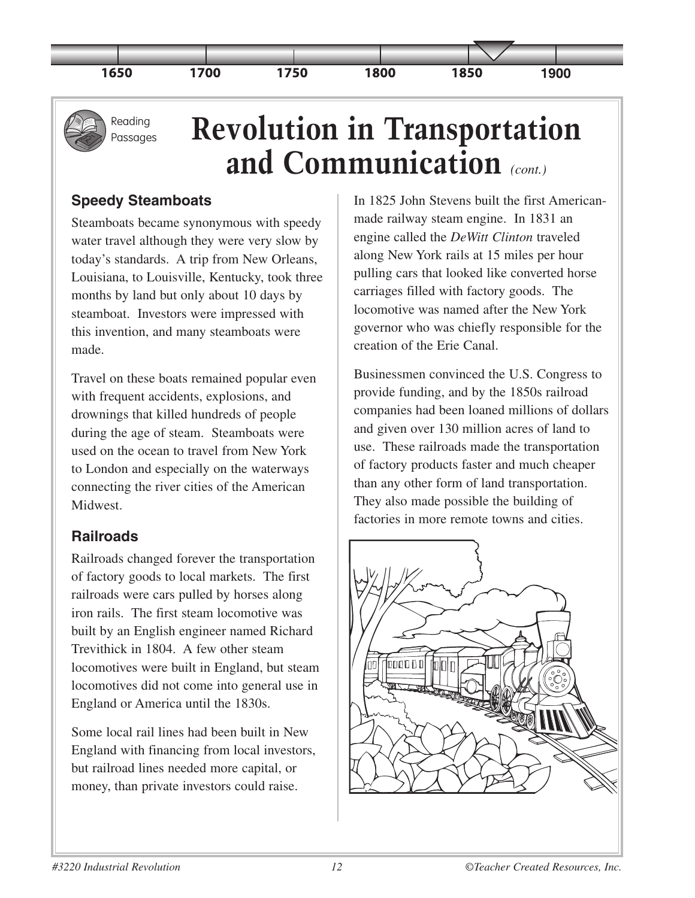



## **Revolution in Transportation and Communication** *(cont.)*

#### **Speedy Steamboats**

Reading Passages

Steamboats became synonymous with speedy water travel although they were very slow by today's standards. A trip from New Orleans, Louisiana, to Louisville, Kentucky, took three months by land but only about 10 days by steamboat. Investors were impressed with this invention, and many steamboats were made.

Travel on these boats remained popular even with frequent accidents, explosions, and drownings that killed hundreds of people during the age of steam. Steamboats were used on the ocean to travel from New York to London and especially on the waterways connecting the river cities of the American Midwest.

#### **Railroads**

Railroads changed forever the transportation of factory goods to local markets. The first railroads were cars pulled by horses along iron rails. The first steam locomotive was built by an English engineer named Richard Trevithick in 1804. A few other steam locomotives were built in England, but steam locomotives did not come into general use in England or America until the 1830s.

Some local rail lines had been built in New England with financing from local investors, but railroad lines needed more capital, or money, than private investors could raise.

In 1825 John Stevens built the first Americanmade railway steam engine. In 1831 an engine called the *DeWitt Clinton* traveled along New York rails at 15 miles per hour pulling cars that looked like converted horse carriages filled with factory goods. The locomotive was named after the New York governor who was chiefly responsible for the creation of the Erie Canal.

Businessmen convinced the U.S. Congress to provide funding, and by the 1850s railroad companies had been loaned millions of dollars and given over 130 million acres of land to use. These railroads made the transportation of factory products faster and much cheaper than any other form of land transportation. They also made possible the building of factories in more remote towns and cities.